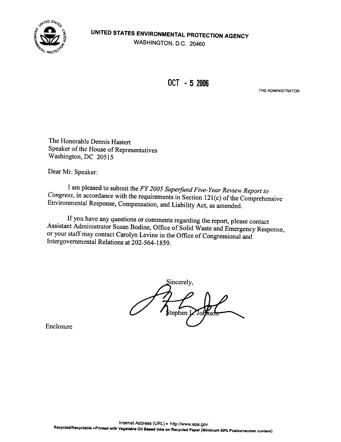

### UNITED STATES ENVIRONMENTAL PROTECTION AGENCY WASHINGTON, D.C. 20460

OCT - 5 2006

THE ADMINISTRATOR

The Honorable Dennis Hastert Speaker of the House of Representatives Washington, DC 20515

Dear Mr. Speaker:

I am pleased to submit the FY 2005 Superfund Five-Year Review Report to Congress, in accordance with the requirements in Section 121(c) of the Comprehensive Environmental Response, Compensation, and Liability Act, as amend

If you have any questions or comments regarding the report, please contact<br>Assistant Administrator Susan Bodine, Office of Solid Waste and Emergency Response,<br>or your staff may contact Carolyn Levine in the Office of Congr Intergovernmental Relations at 202-564-1859 .

Sincerely, Stephen **I** 

Enclosure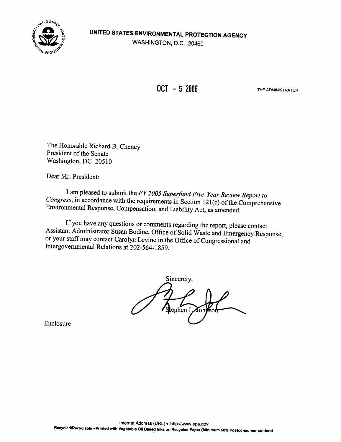

OCT - 5 2006 THE ADMINISTRATOR

The Honorable Richard B. Cheney President of the Senate Washington, DC 20510

Dear Mr. President:

I am pleased to submit the FY 2005 Superfund Five-Year Review Report to Congress, in accordance with the requirements in Section 121(c) of the Comprehensive Environmental Response, Compensation, and Liability Act, as amend

If you have any questions or comments regarding the report, please contact<br>Assistant Administrator Susan Bodine, Office of Solid Waste and Emergency Response, or your staff may contact Carolyn Levine in the Office of Congressional and Intergovernmental Relations at 202-564-1859.

Sincerely, tephen L

Enclosure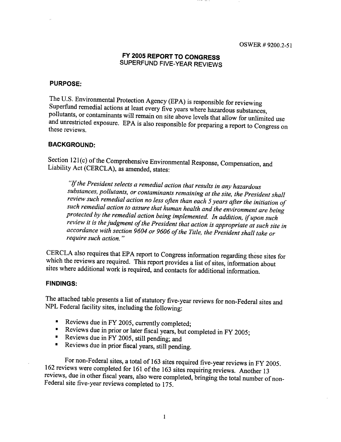### FY 2005 REPORT TO CONGRESS SUPERFUND FIVE-YEAR REVIEWS

#### PURPOSE:

The U.S. Environmental Protection Agency (EPA) is responsible for reviewing<br>Superfund remedial actions at least every five years where hazardous substances,<br>pollutants, or contaminants will remain on site above levels that

#### **BACKGROUND:**

Section 121(c) of the Comprehensive Environmental Response, Compensation, and Liability Act (CERCLA), as amended, states :

"If the President selects a remedial action that results in any hazardous<br>substances, pollutants, or contaminants remaining at the site, the President shall<br>review such remedial action no less often than each 5 years afte accordance with section 9604 or 9606 of the Title, the President shall take or require such action."

CERCLA also requires that EPA report to Congress information regarding these sites for which the reviews are required. This report provides a list of sites, information about sites where additional work is required, and co

#### FINDINGS:

The attached table presents a list of statutory five-year reviews for non-Federal sites and NPL Federal facility sites, including the following:

- Reviews due in FY 2005, currently completed;  $\blacksquare$
- Reviews due in prior or later fiscal years, but completed in FY 2005;<br>Reviews due in FV 2005, still nonding such
- Reviews due in FY 2005, still pending; and
- Reviews due in prior fiscal years, still pending.

For non-Federal sites, a total of 163 sites required five-year reviews in FY 2005.<br>162 reviews were completed for 161 of the 163 sites requiring reviews. Another 13<br>reviews, due in other fiscal years, also were completed,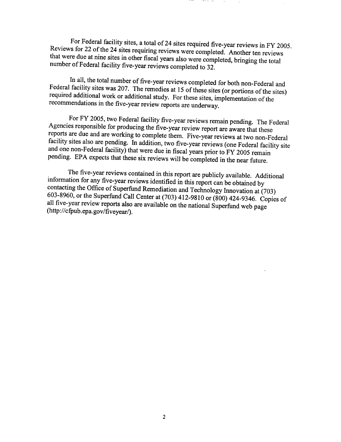Reviews for 22 of the 24 sites requiring reviews were completed. Another ten reviews For Federal facility sites, a total of 24 sites required five-year reviews in FY 2005. that were due at nine sites in other fiscal years also were completed, bringing the total number of Federal facility five-year reviews completed to 32 .

In all, the total number of five-year reviews completed for both non-Federal and Federal facility sites was 207. The remedies at 15 of these sites (or portions of the sites) required additional work or additional study. Fo

For FY 2005, two Federal facility five-year reviews remain pending. The Federal Agencies responsible for producing the five-year review report are aware that these reports are due and are working to complete them. Five-yea

The five-year reviews contained in this report are publicly available. Additional<br>information for any five-year reviews identified in this report can be obtained by<br>contacting the Office of Superfund Remediation and Techno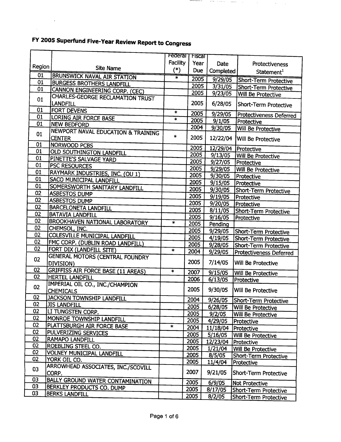$\mathcal{L}^{\text{max}}_{\text{max}}$ 

 $\chi^2$ 

Г

|                 |                                                                | Federal  | <b>Triscal</b> |           |                                       |
|-----------------|----------------------------------------------------------------|----------|----------------|-----------|---------------------------------------|
|                 |                                                                | Facility | Year           | Date      | Protectiveness                        |
| Region          | <b>Site Name</b>                                               | $(*)$    | Due            | Completed | Statement <sup>1</sup>                |
| $\overline{01}$ | <b>BRUNSWICK NAVAL AIR STATION</b>                             | $\ast$   | 2005           | 9/29/05   | Short-Term Protective                 |
| 01              | <b>BURGESS BROTHERS LANDFILL</b>                               |          | 2005           | 3/31/05   | Short-Term Protective                 |
| 01              | <b>CANNON ENGINEERING CORP. (CEC)</b>                          |          | 2005           | 9/23/05   | Will Be Protective                    |
| 01              | CHARLES-GEORGE RECLAMATION TRUST<br>LANDFILL                   |          | 2005           | 6/28/05   | Short-Term Protective                 |
| 01              | <b>FORT DEVENS</b>                                             | $\ast$   | 2005           | 9/29/05   |                                       |
| 01              | LORING AIR FORCE BASE                                          | $\star$  | 2005           | 9/1/05    | Protectiveness Deferred<br>Protective |
| 01              | <b>NEW BEDFORD</b>                                             |          | 2004           | 9/30/05   | <b>Will Be Protective</b>             |
| 01              | <b>NEWPORT NAVAL EDUCATION &amp; TRAINING</b><br><b>CENTER</b> | $\ast$   | 2005           | 12/22/04  | Will Be Protective                    |
| 01              | <b>NORWOOD PCBS</b>                                            |          | 2005           | 12/29/04  | Protective                            |
| 01              | <b>OLD SOUTHINGTON LANDFILL</b>                                |          | 2005           | 9/13/05   | <b>Will Be Protective</b>             |
| 01              | PINETTE'S SALVAGE YARD                                         |          | 2005           | 9/27/05   | Protective                            |
| 01              | PSC RESOURCES                                                  |          | 2005           | 9/29/05   | <b>Will Be Protective</b>             |
| 01              | RAYMARK INDUSTRIES, INC. (OU 1)                                |          | 2005           | 9/30/05   | <b>Protective</b>                     |
| 01              | SACO MUNICIPAL LANDFILL                                        |          | 2005           | 9/15/05   | Protective                            |
| 01              | SOMERSWORTH SANITARY LANDFILL                                  |          | 2005           | 9/30/05   |                                       |
| 02              | <b>ASBESTOS DUMP</b>                                           |          | 2005           | 9/19/05   | Short-Term Protective                 |
| 02              | <b>ASBESTOS DUMP</b>                                           |          | 2005           | 9/20/05   | Protective                            |
| 02              | <b>BARCELONETA LANDFILL</b>                                    |          | 2005           | 8/11/05   | Protective                            |
| 02              | <b>BATAVIA LANDFILL</b>                                        |          | 2005           | 9/16/05   | <b>Short-Term Protective</b>          |
| 02              | <b>BROOKHAVEN NATIONAL LABORATORY</b>                          | $\ast$   | 2005           | Pending   | Protective                            |
| 02              | CHEMSOL, INC.                                                  |          | 2005           | 9/29/05   |                                       |
| 02              | <b>COLESVILLE MUNICIPAL LANDFILL</b>                           |          | 2005           |           | Short-Term Protective                 |
| 02              | FMC CORP. (DUBLIN ROAD LANDFILL)                               |          | 2005           | 4/19/05   | Short-Term Protective                 |
| 02              | FORT DIX (LANDFILL SITE)                                       | $\ast$   |                | 9/28/05   | Short-Term Protective                 |
|                 | <b>GENERAL MOTORS (CENTRAL FOUNDRY</b>                         |          | 2004           | 9/29/05   | Protectiveness Deferred               |
| 02              | DIVISION)                                                      |          | 2005           | 7/14/05   | Will Be Protective                    |
| 02              | <b>GRIFFISS AIR FORCE BASE (11 AREAS)</b>                      | $\ast$   | 2007           | 9/15/05   | Will Be Protective                    |
| 02              | <b>HERTEL LANDFILL</b>                                         |          | 2006           | 6/13/05   | Protective                            |
| 02              | IMPERIAL OIL CO., INC./CHAMPION<br><b>CHEMICALS</b>            |          | 2005           | 9/30/05   | Will Be Protective                    |
| 02              | <b>JACKSON TOWNSHIP LANDFILL</b>                               |          | 2004           | 9/26/05   | Short-Term Protective                 |
| $\overline{02}$ | <b>JIS LANDFILL</b>                                            |          | 2005           | 6/28/05   | <b>Will Be Protective</b>             |
| 02              | LI TUNGSTEN CORP.                                              |          | 2005           | 9/2/05    | Will Be Protective                    |
| 02              | MONROE TOWNSHIP LANDFILL                                       |          | 2005           | 4/29/05   | Protective                            |
| 02              | PLATTSBURGH AIR FORCE BASE                                     | $\ast$   | 2004           | 11/18/04  | Protective                            |
| 02              | PULVERIZING SERVICES                                           |          | 2005           | 5/16/05   | Will Be Protective                    |
| 02              | RAMAPO LANDFILL                                                |          | 2005           | 12/23/04  | Protective                            |
| 02              | ROEBLING STEEL CO.                                             |          | 2005           | 1/21/04   | <b>Will Be Protective</b>             |
| 02              | <b>VOLNEY MUNICIPAL LANDFILL</b>                               |          | 2005           | 8/5/05    | Short-Term Protective                 |
| 02              | YORK OIL CO.                                                   |          | 2005           | 11/4/04   | Protective                            |
| 03              | ARROWHEAD ASSOCIATES, INC./SCOVILL<br>CORP.                    |          | 2007           | 9/21/05   | Short-Term Protective                 |
| 03              | <b>BALLY GROUND WATER CONTAMINATION</b>                        |          | 2005           | 6/9/05    | Not Protective                        |
| 03              | BERKLEY PRODUCTS CO. DUMP                                      |          | 2005           | 8/17/05   | Short-Term Protective                 |
| 03              | <b>BERKS LANDFILL</b>                                          |          | 2005           | 8/2/05    | Short-Term Protective                 |

nemente de la participa de la constitución de la constitución de la constitución de la constitución de la const<br>La constitución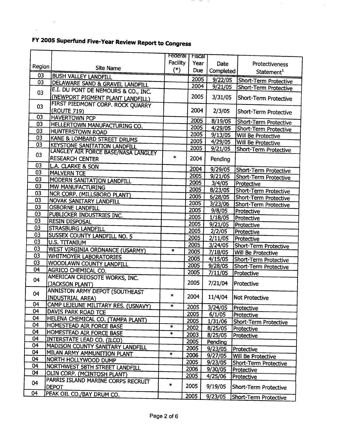$\mathcal{L}^{\text{max}}_{\text{max}}$ 

 $\mathbf{v}^{\prime}$ 

г

|          |                                                               | Federal  | Fiscal |           |                              |
|----------|---------------------------------------------------------------|----------|--------|-----------|------------------------------|
|          |                                                               | Facility | Year   | Date      | Protectiveness               |
| Region   | <b>Site Name</b>                                              | $(*)$    | Due    | Completed | Statement <sup>1</sup>       |
| 03<br>03 | <b>BUSH VALLEY LANDFILL</b>                                   |          | 2005   | 9/22/05   | Short-Term Protective        |
|          | DELAWARE SAND & GRAVEL LANDFILL                               |          | 2004   | 9/21/05   | Short-Term Protective        |
| 03       | E.I. DU PONT DE NEMOURS & CO., INC.                           |          |        |           |                              |
|          | (NEWPORT PIGMENT PLANT LANDFILL)                              |          | 2005   | 3/31/05   | Short-Term Protective        |
| 03       | FIRST PIEDMONT CORP. ROCK QUARRY                              |          |        |           |                              |
| 03       | (ROUTE 719)                                                   |          | 2004   | 2/3/05    | Short-Term Protective        |
| 03       | <b>HAVERTOWN PCP</b>                                          |          | 2005   | 8/19/05   | Short-Term Protective        |
| 03       | <b>HELLERTOWN MANUFACTURING CO.</b>                           |          | 2005   | 4/29/05   | Short-Term Protective        |
| 03       | HUNTERSTOWN ROAD                                              |          | 2005   | 9/13/05   | Will Be Protective           |
| 03       | KANE & LOMBARD STREET DRUMS                                   |          | 2005   | 4/29/05   | Will Be Protective           |
|          | <b>KEYSTONE SANITATION LANDFILL</b>                           |          | 2005   | 9/21/05   | Short-Term Protective        |
| 03       | LANGLEY AIR FORCE BASE/NASA LANGLEY<br><b>RESEARCH CENTER</b> | $\ast$   | 2004   |           |                              |
| 03       |                                                               |          |        | Pending   |                              |
|          | L.A. CLARKE & SON                                             |          | 2004   | 9/29/05   | Short-Term Protective        |
| 03       | <b>MALVERN TCE</b>                                            |          | 2005   | 9/21/05   | Short-Term Protective        |
| 03       | MODERN SANITATION LANDFILL                                    |          | 2005   | 3/4/05    | Protective                   |
| 03       | MW MANUFACTURING                                              |          | 2005   | 8/23/05   | <b>Short-Term Protective</b> |
| 03       | NCR CORP. (MILLSBORO PLANT)                                   |          | 2005   | 6/28/05   | Short-Term Protective        |
| 03       | <b>NOVAK SANITARY LANDFILL</b>                                |          | 2005   | 3/23/06   | Short-Term Protective        |
| 03       | <b>OSBORNE LANDFILL</b>                                       |          | 2005   | 9/8/05    | Protective                   |
| 03       | PUBLICKER INDUSTRIES INC.                                     |          | 2005   | 1/18/05   | Protective                   |
| 03       | <b>RESIN DISPOSAL</b>                                         |          | 2005   | 9/21/05   | Protective                   |
| 03       | <b>STRASBURG LANDFILL</b>                                     |          | 2005   | 2/2/05    | Protective                   |
| 03       | SUSSEX COUNTY LANDFILL NO. 5                                  |          | 2005   | 2/11/05   | Protective                   |
| 03       | U.S. TITANIUM                                                 |          | 2005   | 3/24/05   | Short-Term Protective        |
| 03       | <b>WEST VIRGINIA ORDNANCE (USARMY)</b>                        | $\ast$   | 2005   | 7/18/05   | Will Be Protective           |
| 03       | WHITMOYER LABORATORIES                                        |          | 2005   | 4/15/05   | Short-Term Protective        |
| 03       | WOODLAWN COUNTY LANDFILL                                      |          | 2005   | 9/28/05   | Short-Term Protective        |
| 04       | AGRICO CHEMICAL CO.                                           |          | 2005   | 7/11/05   | Protective                   |
| 04       | AMERICAN CREOSOTE WORKS, INC.                                 |          |        |           |                              |
|          | (JACKSON PLANT)                                               |          | 2005   | 7/21/04   | Protective                   |
| 04       | ANNISTON ARMY DEPOT (SOUTHEAST                                | $\ast$   |        |           |                              |
|          | <b>INDUSTRIAL AREA)</b>                                       |          | 2004   | 11/4/04   | <b>Not Protective</b>        |
| 04       | CAMP LEJEUNE MILITARY RES. (USNAVY)                           | $\ast$   | 2005   | 3/24/05   | Protective                   |
| 04       | DAVIS PARK ROAD TCE                                           |          | 2005   | 6/1/05    | Protective                   |
| 04       | HELENA CHEMICAL CO. (TAMPA PLANT)                             |          | 2005   | 1/31/06   | Short-Term Protective        |
| 04       | HOMESTEAD AIR FORCE BASE                                      | $\ast$   | 2002   | 8/25/05   | Protective                   |
| 04       | HOMESTEAD AIR FORCE BASE                                      | $\ast$   | 2003   | 8/25/05   | Protective                   |
| 04       | INTERSTATE LEAD CO. (ILCO)                                    |          | 2005   | Pending   |                              |
| 04       | MADISON COUNTY SANITARY LANDFILL                              |          | 2005   | 9/23/05   | Protective                   |
| 04       | MILAN ARMY AMMUNITION PLANT                                   | $\ast$   | 2006   | 9/27/05   | Will Be Protective           |
| 04       | NORTH HOLLYWOOD DUMP                                          |          | 2005   | 9/23/05   | Short-Term Protective        |
| 04       | NORTHWEST 58TH STREET LANDFILL                                |          | 2006   | 9/30/05   | Protective                   |
| 04       | OLIN CORP. (MCINTOSH PLANT)                                   |          | 2005   | 4/25/06   | Protective                   |
| 04       | PARRIS ISLAND MARINE CORPS RECRUIT                            | $\ast$   | 2005   |           |                              |
| 04       | <b>DEPOT</b>                                                  |          |        | 9/19/05   | Short-Term Protective        |
|          | PEAK OIL CO./BAY DRUM CO.                                     |          | 2005   | 9/23/05   | Short-Term Protective        |

in a company of the company of the

 $\bar{z}$ 

 $\mathcal{L}$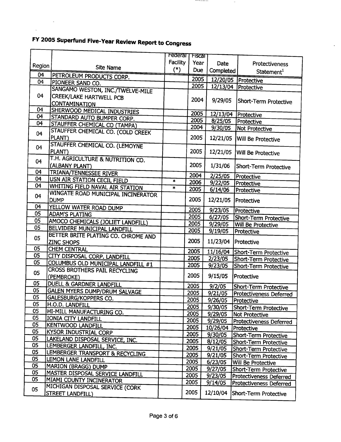$\sim 10^{11}$  km

 $\bar{\mathbf{r}}$ 

Ĭ

|                |                                                                            | <b>Federal   Fiscal</b> |              |                     |                                |
|----------------|----------------------------------------------------------------------------|-------------------------|--------------|---------------------|--------------------------------|
|                |                                                                            | Facility                | Year         | Date                | Protectiveness                 |
| Region         | <b>Site Name</b>                                                           | $(*)$                   | Due          | Completed           | Statement <sup>1</sup>         |
| 04             | PETROLEUM PRODUCTS CORP.                                                   |                         | 2005         |                     | 12/20/05 Protective            |
| 0 <sub>4</sub> | PIONEER SAND CO.                                                           |                         | 2005         | 12/13/04            | Protective                     |
|                | SANGAMO WESTON, INC./TWELVE-MILE                                           |                         |              |                     |                                |
| 04             | <b>CREEK/LAKE HARTWELL PCB</b>                                             |                         | 2004         | 9/29/05             | Short-Term Protective          |
|                | <b>CONTAMINATION</b>                                                       |                         |              |                     |                                |
| 04             | SHERWOOD MEDICAL INDUSTRIES                                                |                         | 2005         |                     | 12/13/04 Protective            |
| 04             | STANDARD AUTO BUMPER CORP.                                                 |                         | 2005         | 8/25/05             | Protective                     |
| 04             | STAUFFER CHEMICAL CO (TAMPA)                                               |                         | 2004         | 9/30/05             | Not Protective                 |
| 04             | STAUFFER CHEMICAL CO. (COLD CREEK                                          |                         |              |                     |                                |
|                | PLANT)                                                                     |                         | 2005         | 12/21/05            | <b>Will Be Protective</b>      |
| 04             | STAUFFER CHEMICAL CO. (LEMOYNE                                             |                         |              |                     |                                |
|                | PLANT)                                                                     |                         | 2005         | 12/21/05            | Will Be Protective             |
| 04             | T.H. AGRICULTURE & NUTRITION CO.                                           |                         |              |                     |                                |
|                | (ALBANY PLANT)                                                             |                         | 2005         | 1/31/06             | Short-Term Protective          |
| 04<br>04       | <b>TRIANA/TENNESSEE RIVER</b>                                              |                         | 2004         | 2/25/05             | Protective                     |
| 04             | USN AIR STATION CECIL FIELD                                                | $\ast$                  | 2006         | 9/22/05             | Protective                     |
|                | <b>WHITING FIELD NAVAL AIR STATION</b>                                     | ×                       | 2005         | 6/14/06             | Protective                     |
| 04             | WINGATE ROAD MUNICIPAL INCINERATOR                                         |                         | 2005         |                     |                                |
| 04             | <b>DUMP</b>                                                                |                         |              | 12/21/05            | Protective                     |
| 05             | YELLOW WATER ROAD DUMP                                                     |                         | 2005         | 9/23/05             | Protective                     |
| 05             | <b>ADAM'S PLATING</b>                                                      |                         | 2005         | 6/27/05             | Short-Term Protective          |
| 05             | AMOCO CHEMICALS (JOLIET LANDFILL)                                          |                         | 2005         | 9/29/05             | Will Be Protective             |
|                | BELVIDERE MUNICIPAL LANDFILL                                               |                         | 2005         | 9/19/05             | Protective                     |
| 05             | BETTER BRITE PLATING CO. CHROME AND                                        |                         | 2005         | 11/23/04            |                                |
| 05             | <b>ZINC SHOPS</b>                                                          |                         |              |                     | Protective                     |
| 05             | <b>CHEM CENTRAL</b>                                                        |                         | 2005         |                     | 11/16/04 Short-Term Protective |
| 05             | CITY DISPOSAL CORP. LANDFILL                                               |                         | 2005         | 2/23/05             | Short-Term Protective          |
|                | COLUMBUS OLD MUNICIPAL LANDFILL #1<br><b>CROSS BROTHERS PAIL RECYCLING</b> |                         | 2005         | 9/23/05             | Short-Term Protective          |
| 05             | (PEMBROKE)                                                                 |                         | 2005         | 9/15/05             | Protective                     |
| 05             | DUELL & GARDNER LANDFILL                                                   |                         |              |                     |                                |
| 05             | <b>GALEN MYERS DUMP/DRUM SALVAGE</b>                                       |                         | 2005         | 9/2/05              | Short-Term Protective          |
| 05             | GALESBURG/KOPPERS CO.                                                      |                         | 2005         | 9/21/05             | Protectiveness Deferred        |
| 05             | <b>H.O.D. LANDFILL</b>                                                     |                         | 2005         | 9/26/05             | Protective                     |
| 05             | HI-MILL MANUFACTURING CO.                                                  |                         | 2005         | 9/30/05             | Short-Term Protective          |
| 05             | IONIA CITY LANDFILL                                                        |                         | 2005         | 9/29/05             | Not Protective                 |
| 05             | <b>KENTWOOD LANDFILL</b>                                                   |                         | 2005         | 9/29/05             | <b>Protectiveness Deferred</b> |
| 05             | <b>KYSOR INDUSTRIAL CORP</b>                                               |                         | 2005         | 10/26/04 Protective |                                |
| 05             | LAKELAND DISPOSAL SERVICE, INC.                                            |                         | 2005         | 9/30/05             | Short-Term Protective          |
| 05             | LEMBERGER LANDFILL, INC.                                                   |                         | 2005         | 8/12/05             | Short-Term Protective          |
| 05             | LEMBERGER TRANSPORT & RECYCLING                                            |                         | 2005         | 9/21/05             | Short-Term Protective          |
| 05             | LEMON LANE LANDFILL                                                        |                         | 2005<br>2005 | 9/21/05             | Short-Term Protective          |
| 05             | <b>MARION (BRAGG) DUMP</b>                                                 |                         | 2005         | 6/23/05             | Will Be Protective             |
| 05             | <b>MASTER DISPOSAL SERVICE LANDFILL</b>                                    |                         | 2005         | 9/27/05             | Short-Term Protective          |
| 05             | MIAMI COUNTY INCINERATOR                                                   |                         | 2005         | 9/23/05<br>9/14/05  | <b>Protectiveness Deferred</b> |
| 05             | MICHIGAN DISPOSAL SERVICE (CORK                                            |                         |              |                     | Protectiveness Deferred        |
|                | <b>STREET LANDFILL)</b>                                                    |                         | 2005         | 12/10/04            | Short-Term Protective          |
|                |                                                                            |                         |              |                     |                                |

**Section and Section Association** 

 $\sim$ 

 $\hat{\mathbf{r}}$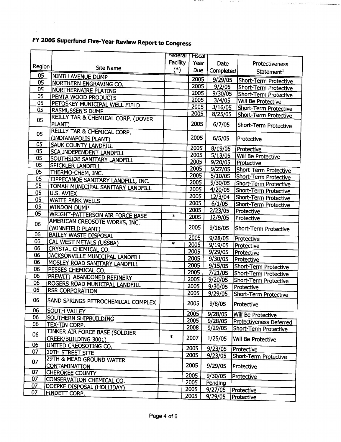$\sim 10^4$ 

| Facility<br>Year<br>Date<br>Protectiveness<br>Region<br><b>Site Name</b><br>$(*)$<br>Due<br>Completed<br>Statement <sup>1</sup><br>05<br>NINTH AVENUE DUMP<br>2005<br>9/29/05<br>Short-Term Protective<br>05<br><b>NORTHERN ENGRAVING CO.</b><br>2005<br>9/2/05<br>Short-Term Protective<br>05<br><b>NORTHERNAIRE PLATING</b><br>2005<br>9/30/05<br>Short-Term Protective<br>05<br>PENTA WOOD PRODUCTS<br>2005<br>3/4/05<br>Will Be Protective<br>05<br>PETOSKEY MUNICIPAL WELL FIELD<br>2005<br>3/16/05<br>Short-Term Protective<br>05<br><b>RASMUSSEN'S DUMP</b><br>2005<br>8/25/05<br>Short-Term Protective<br>REILLY TAR & CHEMICAL CORP. (DOVER<br>05<br>2005<br>PLANT)<br>6/7/05<br>Short-Term Protective<br>REILLY TAR & CHEMICAL CORP.<br>05<br>2005<br>(INDIANAPOLIS PLANT)<br>6/5/05<br>Protective<br>05<br>SAUK COUNTY LANDFILL<br>2005<br>8/19/05<br>Protective<br>05<br>SCA INDEPENDENT LANDFILL<br>2005<br>5/13/05<br><b>Will Be Protective</b><br>05<br>SOUTHSIDE SANITARY LANDFILL<br>2005<br>9/20/05<br>Protective<br>05<br>SPICKLER LANDFILL<br>2005<br>9/27/05<br>Short-Term Protective<br>05<br>THERMO-CHEM, INC.<br>2005<br>5/10/05<br>Short-Term Protective<br>05<br>TIPPECANOE SANITARY LANDFILL, INC.<br>2005<br>9/30/05<br>Short-Term Protective<br>05<br>TOMAH <u>MUNICIPAL SANITARY LANDFILL</u><br>2005<br>4/20/05<br>Short-Term Protective<br>05<br>U.S. AVIEX<br>2005<br>12/3/04<br>Short-Term Protective<br>05<br><b>WAITE PARK WELLS</b><br>2005<br>6/1/05<br>Short-Term Protective<br>05<br><b>WINDOM DUMP</b><br>2005<br>2/23/05<br>Protective<br>05<br><b>WRIGHT-PATTERSON AIR FORCE BASE</b><br>$\ast$<br>2005<br>12/9/05<br>Protective<br>AMERICAN CREOSOTE WORKS, INC.<br>06<br>2005<br>9/18/05<br>(WINNFIELD PLANT)<br>Short-Term Protective<br>06<br><b>BAILEY WASTE DISPOSAL</b><br>2005<br>9/28/05<br>Protective<br>06<br>CAL WEST METALS (USSBA)<br>$\ast$<br>2005<br>9/19/05<br>Protective<br>06<br>CRYSTAL CHEMICAL CO.<br>2005<br>9/29/05<br>Protective<br>06<br>JACKSONVILLE MUNICIPAL LANDFILL<br>2005<br>9/30/05<br>Protective<br>06<br>MOSLEY ROAD SANITARY LANDFILL<br>2005<br>9/15/05<br>Short-Term Protective<br>06<br>PESSES CHEMICAL CO.<br>2005<br>7/21/05<br>Short-Term Protective<br>06<br>PREWITT ABANDONED REFINERY<br>2005<br>9/20/05<br>Short-Term Protective<br>06<br>ROGERS ROAD MUNICIPAL LANDFILL<br>2005<br>9/30/05<br>Protective<br>06<br><b>RSR CORPORATION</b><br>2005<br>9/29/05<br>Short-Term Protective<br>06<br>SAND SPRINGS PETROCHEMICAL COMPLEX<br>2005<br>9/8/05<br>Protective<br>06<br><b>SOUTH VALLEY</b><br>2005<br>9/28/05<br>Will Be Protective<br>06<br>SOUTHERN SHIPBUILDING<br>2005<br>9/28/05<br><b>Protectiveness Deferred</b><br>06<br>TEX-TIN CORP.<br>2008<br>9/29/05<br>Short-Term Protective<br>TINKER AIR FORCE BASE (SOLDIER<br>06<br>$\ast$<br>2007<br>1/25/05<br>CREEK/BUILDING 3001)<br>Will Be Protective<br>06<br>UNITED CREOSOTING CO.<br>2005<br>9/23/05<br>Protective<br>07<br>10TH STREET SITE<br>2005<br>9/23/05<br>Short-Term Protective<br>29TH & MEAD GROUND WATER<br>07<br>2005<br>9/29/05<br><b>CONTAMINATION</b><br>Protective<br>07<br><b>CHEROKEE COUNTY</b><br>2005<br>9/30/05<br>Protective<br>07<br>CONSERVATION CHEMICAL CO.<br>2005<br>Pending<br>07<br>DOEPKE DISPOSAL (HOLLIDAY)<br>2005<br>9/27/05<br>Protective<br>07<br>FINDETT CORP. |  | Federal T Fiscal |         |            |
|------------------------------------------------------------------------------------------------------------------------------------------------------------------------------------------------------------------------------------------------------------------------------------------------------------------------------------------------------------------------------------------------------------------------------------------------------------------------------------------------------------------------------------------------------------------------------------------------------------------------------------------------------------------------------------------------------------------------------------------------------------------------------------------------------------------------------------------------------------------------------------------------------------------------------------------------------------------------------------------------------------------------------------------------------------------------------------------------------------------------------------------------------------------------------------------------------------------------------------------------------------------------------------------------------------------------------------------------------------------------------------------------------------------------------------------------------------------------------------------------------------------------------------------------------------------------------------------------------------------------------------------------------------------------------------------------------------------------------------------------------------------------------------------------------------------------------------------------------------------------------------------------------------------------------------------------------------------------------------------------------------------------------------------------------------------------------------------------------------------------------------------------------------------------------------------------------------------------------------------------------------------------------------------------------------------------------------------------------------------------------------------------------------------------------------------------------------------------------------------------------------------------------------------------------------------------------------------------------------------------------------------------------------------------------------------------------------------------------------------------------------------------------------------------------------------------------------------------------------------------------------------------------------------------------------------------------------------------------------------------------------------------------------------------------------------------------------------------------------------------------------------------------------------------------------------------------------------------------------------------------------------------------------------------------------------------------------------------------------------|--|------------------|---------|------------|
|                                                                                                                                                                                                                                                                                                                                                                                                                                                                                                                                                                                                                                                                                                                                                                                                                                                                                                                                                                                                                                                                                                                                                                                                                                                                                                                                                                                                                                                                                                                                                                                                                                                                                                                                                                                                                                                                                                                                                                                                                                                                                                                                                                                                                                                                                                                                                                                                                                                                                                                                                                                                                                                                                                                                                                                                                                                                                                                                                                                                                                                                                                                                                                                                                                                                                                                                                                  |  |                  |         |            |
|                                                                                                                                                                                                                                                                                                                                                                                                                                                                                                                                                                                                                                                                                                                                                                                                                                                                                                                                                                                                                                                                                                                                                                                                                                                                                                                                                                                                                                                                                                                                                                                                                                                                                                                                                                                                                                                                                                                                                                                                                                                                                                                                                                                                                                                                                                                                                                                                                                                                                                                                                                                                                                                                                                                                                                                                                                                                                                                                                                                                                                                                                                                                                                                                                                                                                                                                                                  |  |                  |         |            |
|                                                                                                                                                                                                                                                                                                                                                                                                                                                                                                                                                                                                                                                                                                                                                                                                                                                                                                                                                                                                                                                                                                                                                                                                                                                                                                                                                                                                                                                                                                                                                                                                                                                                                                                                                                                                                                                                                                                                                                                                                                                                                                                                                                                                                                                                                                                                                                                                                                                                                                                                                                                                                                                                                                                                                                                                                                                                                                                                                                                                                                                                                                                                                                                                                                                                                                                                                                  |  |                  |         |            |
|                                                                                                                                                                                                                                                                                                                                                                                                                                                                                                                                                                                                                                                                                                                                                                                                                                                                                                                                                                                                                                                                                                                                                                                                                                                                                                                                                                                                                                                                                                                                                                                                                                                                                                                                                                                                                                                                                                                                                                                                                                                                                                                                                                                                                                                                                                                                                                                                                                                                                                                                                                                                                                                                                                                                                                                                                                                                                                                                                                                                                                                                                                                                                                                                                                                                                                                                                                  |  |                  |         |            |
|                                                                                                                                                                                                                                                                                                                                                                                                                                                                                                                                                                                                                                                                                                                                                                                                                                                                                                                                                                                                                                                                                                                                                                                                                                                                                                                                                                                                                                                                                                                                                                                                                                                                                                                                                                                                                                                                                                                                                                                                                                                                                                                                                                                                                                                                                                                                                                                                                                                                                                                                                                                                                                                                                                                                                                                                                                                                                                                                                                                                                                                                                                                                                                                                                                                                                                                                                                  |  |                  |         |            |
|                                                                                                                                                                                                                                                                                                                                                                                                                                                                                                                                                                                                                                                                                                                                                                                                                                                                                                                                                                                                                                                                                                                                                                                                                                                                                                                                                                                                                                                                                                                                                                                                                                                                                                                                                                                                                                                                                                                                                                                                                                                                                                                                                                                                                                                                                                                                                                                                                                                                                                                                                                                                                                                                                                                                                                                                                                                                                                                                                                                                                                                                                                                                                                                                                                                                                                                                                                  |  |                  |         |            |
|                                                                                                                                                                                                                                                                                                                                                                                                                                                                                                                                                                                                                                                                                                                                                                                                                                                                                                                                                                                                                                                                                                                                                                                                                                                                                                                                                                                                                                                                                                                                                                                                                                                                                                                                                                                                                                                                                                                                                                                                                                                                                                                                                                                                                                                                                                                                                                                                                                                                                                                                                                                                                                                                                                                                                                                                                                                                                                                                                                                                                                                                                                                                                                                                                                                                                                                                                                  |  |                  |         |            |
|                                                                                                                                                                                                                                                                                                                                                                                                                                                                                                                                                                                                                                                                                                                                                                                                                                                                                                                                                                                                                                                                                                                                                                                                                                                                                                                                                                                                                                                                                                                                                                                                                                                                                                                                                                                                                                                                                                                                                                                                                                                                                                                                                                                                                                                                                                                                                                                                                                                                                                                                                                                                                                                                                                                                                                                                                                                                                                                                                                                                                                                                                                                                                                                                                                                                                                                                                                  |  |                  |         |            |
|                                                                                                                                                                                                                                                                                                                                                                                                                                                                                                                                                                                                                                                                                                                                                                                                                                                                                                                                                                                                                                                                                                                                                                                                                                                                                                                                                                                                                                                                                                                                                                                                                                                                                                                                                                                                                                                                                                                                                                                                                                                                                                                                                                                                                                                                                                                                                                                                                                                                                                                                                                                                                                                                                                                                                                                                                                                                                                                                                                                                                                                                                                                                                                                                                                                                                                                                                                  |  |                  |         |            |
|                                                                                                                                                                                                                                                                                                                                                                                                                                                                                                                                                                                                                                                                                                                                                                                                                                                                                                                                                                                                                                                                                                                                                                                                                                                                                                                                                                                                                                                                                                                                                                                                                                                                                                                                                                                                                                                                                                                                                                                                                                                                                                                                                                                                                                                                                                                                                                                                                                                                                                                                                                                                                                                                                                                                                                                                                                                                                                                                                                                                                                                                                                                                                                                                                                                                                                                                                                  |  |                  |         |            |
|                                                                                                                                                                                                                                                                                                                                                                                                                                                                                                                                                                                                                                                                                                                                                                                                                                                                                                                                                                                                                                                                                                                                                                                                                                                                                                                                                                                                                                                                                                                                                                                                                                                                                                                                                                                                                                                                                                                                                                                                                                                                                                                                                                                                                                                                                                                                                                                                                                                                                                                                                                                                                                                                                                                                                                                                                                                                                                                                                                                                                                                                                                                                                                                                                                                                                                                                                                  |  |                  |         |            |
|                                                                                                                                                                                                                                                                                                                                                                                                                                                                                                                                                                                                                                                                                                                                                                                                                                                                                                                                                                                                                                                                                                                                                                                                                                                                                                                                                                                                                                                                                                                                                                                                                                                                                                                                                                                                                                                                                                                                                                                                                                                                                                                                                                                                                                                                                                                                                                                                                                                                                                                                                                                                                                                                                                                                                                                                                                                                                                                                                                                                                                                                                                                                                                                                                                                                                                                                                                  |  |                  |         |            |
|                                                                                                                                                                                                                                                                                                                                                                                                                                                                                                                                                                                                                                                                                                                                                                                                                                                                                                                                                                                                                                                                                                                                                                                                                                                                                                                                                                                                                                                                                                                                                                                                                                                                                                                                                                                                                                                                                                                                                                                                                                                                                                                                                                                                                                                                                                                                                                                                                                                                                                                                                                                                                                                                                                                                                                                                                                                                                                                                                                                                                                                                                                                                                                                                                                                                                                                                                                  |  |                  |         |            |
|                                                                                                                                                                                                                                                                                                                                                                                                                                                                                                                                                                                                                                                                                                                                                                                                                                                                                                                                                                                                                                                                                                                                                                                                                                                                                                                                                                                                                                                                                                                                                                                                                                                                                                                                                                                                                                                                                                                                                                                                                                                                                                                                                                                                                                                                                                                                                                                                                                                                                                                                                                                                                                                                                                                                                                                                                                                                                                                                                                                                                                                                                                                                                                                                                                                                                                                                                                  |  |                  |         |            |
|                                                                                                                                                                                                                                                                                                                                                                                                                                                                                                                                                                                                                                                                                                                                                                                                                                                                                                                                                                                                                                                                                                                                                                                                                                                                                                                                                                                                                                                                                                                                                                                                                                                                                                                                                                                                                                                                                                                                                                                                                                                                                                                                                                                                                                                                                                                                                                                                                                                                                                                                                                                                                                                                                                                                                                                                                                                                                                                                                                                                                                                                                                                                                                                                                                                                                                                                                                  |  |                  |         |            |
|                                                                                                                                                                                                                                                                                                                                                                                                                                                                                                                                                                                                                                                                                                                                                                                                                                                                                                                                                                                                                                                                                                                                                                                                                                                                                                                                                                                                                                                                                                                                                                                                                                                                                                                                                                                                                                                                                                                                                                                                                                                                                                                                                                                                                                                                                                                                                                                                                                                                                                                                                                                                                                                                                                                                                                                                                                                                                                                                                                                                                                                                                                                                                                                                                                                                                                                                                                  |  |                  |         |            |
|                                                                                                                                                                                                                                                                                                                                                                                                                                                                                                                                                                                                                                                                                                                                                                                                                                                                                                                                                                                                                                                                                                                                                                                                                                                                                                                                                                                                                                                                                                                                                                                                                                                                                                                                                                                                                                                                                                                                                                                                                                                                                                                                                                                                                                                                                                                                                                                                                                                                                                                                                                                                                                                                                                                                                                                                                                                                                                                                                                                                                                                                                                                                                                                                                                                                                                                                                                  |  |                  |         |            |
|                                                                                                                                                                                                                                                                                                                                                                                                                                                                                                                                                                                                                                                                                                                                                                                                                                                                                                                                                                                                                                                                                                                                                                                                                                                                                                                                                                                                                                                                                                                                                                                                                                                                                                                                                                                                                                                                                                                                                                                                                                                                                                                                                                                                                                                                                                                                                                                                                                                                                                                                                                                                                                                                                                                                                                                                                                                                                                                                                                                                                                                                                                                                                                                                                                                                                                                                                                  |  |                  |         |            |
|                                                                                                                                                                                                                                                                                                                                                                                                                                                                                                                                                                                                                                                                                                                                                                                                                                                                                                                                                                                                                                                                                                                                                                                                                                                                                                                                                                                                                                                                                                                                                                                                                                                                                                                                                                                                                                                                                                                                                                                                                                                                                                                                                                                                                                                                                                                                                                                                                                                                                                                                                                                                                                                                                                                                                                                                                                                                                                                                                                                                                                                                                                                                                                                                                                                                                                                                                                  |  |                  |         |            |
|                                                                                                                                                                                                                                                                                                                                                                                                                                                                                                                                                                                                                                                                                                                                                                                                                                                                                                                                                                                                                                                                                                                                                                                                                                                                                                                                                                                                                                                                                                                                                                                                                                                                                                                                                                                                                                                                                                                                                                                                                                                                                                                                                                                                                                                                                                                                                                                                                                                                                                                                                                                                                                                                                                                                                                                                                                                                                                                                                                                                                                                                                                                                                                                                                                                                                                                                                                  |  |                  |         |            |
|                                                                                                                                                                                                                                                                                                                                                                                                                                                                                                                                                                                                                                                                                                                                                                                                                                                                                                                                                                                                                                                                                                                                                                                                                                                                                                                                                                                                                                                                                                                                                                                                                                                                                                                                                                                                                                                                                                                                                                                                                                                                                                                                                                                                                                                                                                                                                                                                                                                                                                                                                                                                                                                                                                                                                                                                                                                                                                                                                                                                                                                                                                                                                                                                                                                                                                                                                                  |  |                  |         |            |
|                                                                                                                                                                                                                                                                                                                                                                                                                                                                                                                                                                                                                                                                                                                                                                                                                                                                                                                                                                                                                                                                                                                                                                                                                                                                                                                                                                                                                                                                                                                                                                                                                                                                                                                                                                                                                                                                                                                                                                                                                                                                                                                                                                                                                                                                                                                                                                                                                                                                                                                                                                                                                                                                                                                                                                                                                                                                                                                                                                                                                                                                                                                                                                                                                                                                                                                                                                  |  |                  |         |            |
|                                                                                                                                                                                                                                                                                                                                                                                                                                                                                                                                                                                                                                                                                                                                                                                                                                                                                                                                                                                                                                                                                                                                                                                                                                                                                                                                                                                                                                                                                                                                                                                                                                                                                                                                                                                                                                                                                                                                                                                                                                                                                                                                                                                                                                                                                                                                                                                                                                                                                                                                                                                                                                                                                                                                                                                                                                                                                                                                                                                                                                                                                                                                                                                                                                                                                                                                                                  |  |                  |         |            |
|                                                                                                                                                                                                                                                                                                                                                                                                                                                                                                                                                                                                                                                                                                                                                                                                                                                                                                                                                                                                                                                                                                                                                                                                                                                                                                                                                                                                                                                                                                                                                                                                                                                                                                                                                                                                                                                                                                                                                                                                                                                                                                                                                                                                                                                                                                                                                                                                                                                                                                                                                                                                                                                                                                                                                                                                                                                                                                                                                                                                                                                                                                                                                                                                                                                                                                                                                                  |  |                  |         |            |
|                                                                                                                                                                                                                                                                                                                                                                                                                                                                                                                                                                                                                                                                                                                                                                                                                                                                                                                                                                                                                                                                                                                                                                                                                                                                                                                                                                                                                                                                                                                                                                                                                                                                                                                                                                                                                                                                                                                                                                                                                                                                                                                                                                                                                                                                                                                                                                                                                                                                                                                                                                                                                                                                                                                                                                                                                                                                                                                                                                                                                                                                                                                                                                                                                                                                                                                                                                  |  |                  |         |            |
|                                                                                                                                                                                                                                                                                                                                                                                                                                                                                                                                                                                                                                                                                                                                                                                                                                                                                                                                                                                                                                                                                                                                                                                                                                                                                                                                                                                                                                                                                                                                                                                                                                                                                                                                                                                                                                                                                                                                                                                                                                                                                                                                                                                                                                                                                                                                                                                                                                                                                                                                                                                                                                                                                                                                                                                                                                                                                                                                                                                                                                                                                                                                                                                                                                                                                                                                                                  |  |                  |         |            |
|                                                                                                                                                                                                                                                                                                                                                                                                                                                                                                                                                                                                                                                                                                                                                                                                                                                                                                                                                                                                                                                                                                                                                                                                                                                                                                                                                                                                                                                                                                                                                                                                                                                                                                                                                                                                                                                                                                                                                                                                                                                                                                                                                                                                                                                                                                                                                                                                                                                                                                                                                                                                                                                                                                                                                                                                                                                                                                                                                                                                                                                                                                                                                                                                                                                                                                                                                                  |  |                  |         |            |
|                                                                                                                                                                                                                                                                                                                                                                                                                                                                                                                                                                                                                                                                                                                                                                                                                                                                                                                                                                                                                                                                                                                                                                                                                                                                                                                                                                                                                                                                                                                                                                                                                                                                                                                                                                                                                                                                                                                                                                                                                                                                                                                                                                                                                                                                                                                                                                                                                                                                                                                                                                                                                                                                                                                                                                                                                                                                                                                                                                                                                                                                                                                                                                                                                                                                                                                                                                  |  |                  |         |            |
|                                                                                                                                                                                                                                                                                                                                                                                                                                                                                                                                                                                                                                                                                                                                                                                                                                                                                                                                                                                                                                                                                                                                                                                                                                                                                                                                                                                                                                                                                                                                                                                                                                                                                                                                                                                                                                                                                                                                                                                                                                                                                                                                                                                                                                                                                                                                                                                                                                                                                                                                                                                                                                                                                                                                                                                                                                                                                                                                                                                                                                                                                                                                                                                                                                                                                                                                                                  |  |                  |         |            |
|                                                                                                                                                                                                                                                                                                                                                                                                                                                                                                                                                                                                                                                                                                                                                                                                                                                                                                                                                                                                                                                                                                                                                                                                                                                                                                                                                                                                                                                                                                                                                                                                                                                                                                                                                                                                                                                                                                                                                                                                                                                                                                                                                                                                                                                                                                                                                                                                                                                                                                                                                                                                                                                                                                                                                                                                                                                                                                                                                                                                                                                                                                                                                                                                                                                                                                                                                                  |  |                  |         |            |
|                                                                                                                                                                                                                                                                                                                                                                                                                                                                                                                                                                                                                                                                                                                                                                                                                                                                                                                                                                                                                                                                                                                                                                                                                                                                                                                                                                                                                                                                                                                                                                                                                                                                                                                                                                                                                                                                                                                                                                                                                                                                                                                                                                                                                                                                                                                                                                                                                                                                                                                                                                                                                                                                                                                                                                                                                                                                                                                                                                                                                                                                                                                                                                                                                                                                                                                                                                  |  |                  |         |            |
|                                                                                                                                                                                                                                                                                                                                                                                                                                                                                                                                                                                                                                                                                                                                                                                                                                                                                                                                                                                                                                                                                                                                                                                                                                                                                                                                                                                                                                                                                                                                                                                                                                                                                                                                                                                                                                                                                                                                                                                                                                                                                                                                                                                                                                                                                                                                                                                                                                                                                                                                                                                                                                                                                                                                                                                                                                                                                                                                                                                                                                                                                                                                                                                                                                                                                                                                                                  |  |                  |         |            |
|                                                                                                                                                                                                                                                                                                                                                                                                                                                                                                                                                                                                                                                                                                                                                                                                                                                                                                                                                                                                                                                                                                                                                                                                                                                                                                                                                                                                                                                                                                                                                                                                                                                                                                                                                                                                                                                                                                                                                                                                                                                                                                                                                                                                                                                                                                                                                                                                                                                                                                                                                                                                                                                                                                                                                                                                                                                                                                                                                                                                                                                                                                                                                                                                                                                                                                                                                                  |  |                  |         |            |
|                                                                                                                                                                                                                                                                                                                                                                                                                                                                                                                                                                                                                                                                                                                                                                                                                                                                                                                                                                                                                                                                                                                                                                                                                                                                                                                                                                                                                                                                                                                                                                                                                                                                                                                                                                                                                                                                                                                                                                                                                                                                                                                                                                                                                                                                                                                                                                                                                                                                                                                                                                                                                                                                                                                                                                                                                                                                                                                                                                                                                                                                                                                                                                                                                                                                                                                                                                  |  |                  |         |            |
|                                                                                                                                                                                                                                                                                                                                                                                                                                                                                                                                                                                                                                                                                                                                                                                                                                                                                                                                                                                                                                                                                                                                                                                                                                                                                                                                                                                                                                                                                                                                                                                                                                                                                                                                                                                                                                                                                                                                                                                                                                                                                                                                                                                                                                                                                                                                                                                                                                                                                                                                                                                                                                                                                                                                                                                                                                                                                                                                                                                                                                                                                                                                                                                                                                                                                                                                                                  |  |                  |         |            |
|                                                                                                                                                                                                                                                                                                                                                                                                                                                                                                                                                                                                                                                                                                                                                                                                                                                                                                                                                                                                                                                                                                                                                                                                                                                                                                                                                                                                                                                                                                                                                                                                                                                                                                                                                                                                                                                                                                                                                                                                                                                                                                                                                                                                                                                                                                                                                                                                                                                                                                                                                                                                                                                                                                                                                                                                                                                                                                                                                                                                                                                                                                                                                                                                                                                                                                                                                                  |  |                  |         |            |
|                                                                                                                                                                                                                                                                                                                                                                                                                                                                                                                                                                                                                                                                                                                                                                                                                                                                                                                                                                                                                                                                                                                                                                                                                                                                                                                                                                                                                                                                                                                                                                                                                                                                                                                                                                                                                                                                                                                                                                                                                                                                                                                                                                                                                                                                                                                                                                                                                                                                                                                                                                                                                                                                                                                                                                                                                                                                                                                                                                                                                                                                                                                                                                                                                                                                                                                                                                  |  |                  |         |            |
|                                                                                                                                                                                                                                                                                                                                                                                                                                                                                                                                                                                                                                                                                                                                                                                                                                                                                                                                                                                                                                                                                                                                                                                                                                                                                                                                                                                                                                                                                                                                                                                                                                                                                                                                                                                                                                                                                                                                                                                                                                                                                                                                                                                                                                                                                                                                                                                                                                                                                                                                                                                                                                                                                                                                                                                                                                                                                                                                                                                                                                                                                                                                                                                                                                                                                                                                                                  |  |                  |         |            |
|                                                                                                                                                                                                                                                                                                                                                                                                                                                                                                                                                                                                                                                                                                                                                                                                                                                                                                                                                                                                                                                                                                                                                                                                                                                                                                                                                                                                                                                                                                                                                                                                                                                                                                                                                                                                                                                                                                                                                                                                                                                                                                                                                                                                                                                                                                                                                                                                                                                                                                                                                                                                                                                                                                                                                                                                                                                                                                                                                                                                                                                                                                                                                                                                                                                                                                                                                                  |  |                  |         |            |
|                                                                                                                                                                                                                                                                                                                                                                                                                                                                                                                                                                                                                                                                                                                                                                                                                                                                                                                                                                                                                                                                                                                                                                                                                                                                                                                                                                                                                                                                                                                                                                                                                                                                                                                                                                                                                                                                                                                                                                                                                                                                                                                                                                                                                                                                                                                                                                                                                                                                                                                                                                                                                                                                                                                                                                                                                                                                                                                                                                                                                                                                                                                                                                                                                                                                                                                                                                  |  |                  |         |            |
|                                                                                                                                                                                                                                                                                                                                                                                                                                                                                                                                                                                                                                                                                                                                                                                                                                                                                                                                                                                                                                                                                                                                                                                                                                                                                                                                                                                                                                                                                                                                                                                                                                                                                                                                                                                                                                                                                                                                                                                                                                                                                                                                                                                                                                                                                                                                                                                                                                                                                                                                                                                                                                                                                                                                                                                                                                                                                                                                                                                                                                                                                                                                                                                                                                                                                                                                                                  |  |                  |         |            |
|                                                                                                                                                                                                                                                                                                                                                                                                                                                                                                                                                                                                                                                                                                                                                                                                                                                                                                                                                                                                                                                                                                                                                                                                                                                                                                                                                                                                                                                                                                                                                                                                                                                                                                                                                                                                                                                                                                                                                                                                                                                                                                                                                                                                                                                                                                                                                                                                                                                                                                                                                                                                                                                                                                                                                                                                                                                                                                                                                                                                                                                                                                                                                                                                                                                                                                                                                                  |  |                  |         |            |
|                                                                                                                                                                                                                                                                                                                                                                                                                                                                                                                                                                                                                                                                                                                                                                                                                                                                                                                                                                                                                                                                                                                                                                                                                                                                                                                                                                                                                                                                                                                                                                                                                                                                                                                                                                                                                                                                                                                                                                                                                                                                                                                                                                                                                                                                                                                                                                                                                                                                                                                                                                                                                                                                                                                                                                                                                                                                                                                                                                                                                                                                                                                                                                                                                                                                                                                                                                  |  | 2005             | 9/29/05 | Protective |

the company of the company of the

 $\mathcal{O}(2\pi)$  , where  $\mathcal{O}(2\pi)$ 

ment a concert communication

 $\sim$   $\omega$   $\sim$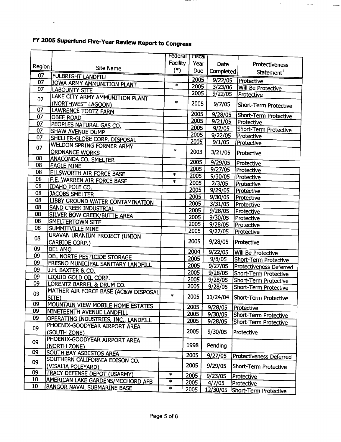|        |                                                                         | Federal 1 | Fiscar       |           |                                |
|--------|-------------------------------------------------------------------------|-----------|--------------|-----------|--------------------------------|
|        |                                                                         | Facility  | Year         | Date      | Protectiveness                 |
| Region | Site Name                                                               | $(*)$     | <b>Due</b>   | Completed |                                |
| 07     | <b>FULBRIGHT LANDFILL</b>                                               |           |              |           | Statement <sup>1</sup>         |
| 07     | IOWA ARMY AMMUNITION PLANT                                              | $\ast$    | 2005<br>2005 | 9/22/05   | Protective                     |
| 07     | <b>LABOUNTY SITE</b>                                                    |           |              | 3/23/06   | <b>Will Be Protective</b>      |
| 07     | LAKE CITY ARMY AMMUNITION PLANT                                         |           | 2005         | 9/22/05   | Protective                     |
| 07     | (NORTHWEST LAGOON)<br>LAWRENCE TODTZ FARM                               | $\ast$    | 2005         | 9/7/05    | Short-Term Protective          |
| 07     | <b>OBEE ROAD</b>                                                        |           | 2005         | 9/28/05   | Short-Term Protective          |
| 07     | PEOPLES NATURAL GAS CO.                                                 |           | 2005         | 9/21/05   | Protective                     |
| 07     | SHAW AVENUE DUMP                                                        |           | 2005         | 9/2/05    | Short-Term Protective          |
| 07     | SHELLER-GLOBE CORP. DISPOSAL                                            |           | 2005         | 9/22/05   | Protective                     |
|        | WELDON SPRING FORMER ARMY                                               |           | 2005         | 9/1/05    | Protective                     |
| 07     | <b>ORDNANCE WORKS</b>                                                   | $\ast$    | 2003         |           |                                |
| 08     |                                                                         |           |              | 3/21/05   | Protective                     |
| 08     | <b>ANACONDA CO. SMELTER</b><br><b>EAGLE MINE</b>                        |           | 2005         | 9/29/05   | Protective                     |
| 08     |                                                                         |           | 2005         | 9/27/05   | Protective                     |
| 08     | ELLSWORTH AIR FORCE BASE                                                | $\ast$    | 2005         | 9/30/05   | Protective                     |
| 08     | F.E. WARREN AIR FORCE BASE                                              | $\ast$    | 2005         | 2/3/05    | Protective                     |
| 08     | IDAHO POLE CO.                                                          |           | 2005         | 9/29/05   | Protective                     |
| 08     | JACOBS SMELTER                                                          |           | 2005         | 9/30/05   | Protective                     |
|        | LIBBY GROUND WATER CONTAMINATION                                        |           | 2005         | 3/31/05   | Protective                     |
| 08     | SAND CREEK INDUSTRIAL                                                   |           | 2005         | 9/28/05   | Protective                     |
| 08     | SILVER BOW CREEK/BUTTE AREA                                             |           | 2005         | 9/30/05   | Protective                     |
| 08     | SMELTERTOWN SITE                                                        |           | 2005         | 9/28/05   | Protective                     |
| 08     | SUMMITVILLE MINE                                                        |           | 2005         | 9/27/05   | Protective                     |
| 08     | URAVAN URANIUM PROJECT (UNION                                           |           | 2005         |           |                                |
|        | CARBIDE CORP.)                                                          |           |              | 9/28/05   | Protective                     |
| 09     | <b>DEL AMO</b>                                                          |           | 2004         | 9/22/05   | Will Be Protective             |
| 09     | DEL NORTE PESTICIDE STORAGE                                             |           | 2005         | 9/8/05    | Short-Term Protective          |
| 09     | FRESNO MUNICIPAL SANITARY LANDFILL                                      |           | 2005         | 9/27/05   | Protectiveness Deferred        |
| 09     | J.H. BAXTER & CO.                                                       |           | 2005         | 9/28/05   | Short-Term Protective          |
| 09     | LIQUID GOLD OIL CORP.                                                   |           | 2005         | 9/28/05   | Short-Term Protective          |
| 09     | LORENTZ BARREL & DRUM CO.                                               |           | 2005         | 9/28/05   | Short-Term Protective          |
| 09     | MATHER AIR FORCE BASE (AC&W DISPOSAL                                    | $\ast$    |              |           |                                |
|        | STTE)                                                                   |           | 2005         |           | 11/24/04 Short-Term Protective |
| 09     | <b>MOUNTAIN VIEW MOBILE HOME ESTATES</b>                                |           | 2005         | 9/28/05   | Protective                     |
| 09     | NINETEENTH AVENUE LANDFILL                                              |           | 2005         | 9/30/05   | Short-Term Protective          |
| 09     | OPERATING INDUSTRIES, INC., LANDFILL                                    |           | 2005         | 9/28/05   | Short-Term Protective          |
| 09     | PHOENIX-GOODYEAR AIRPORT AREA<br>(SOUTH ZONE)                           |           | 2005         | 9/30/05   | Protective                     |
| 09     | PHOENIX-GOODYEAR AIRPORT AREA<br>(NORTH ZONE)                           |           | 1998         | Pending   |                                |
| 09     | <b>SOUTH BAY ASBESTOS AREA</b>                                          |           |              |           |                                |
|        | SOUTHERN CALIFORNIA EDISON CO.                                          |           | 2005         | 9/27/05   | <b>Protectiveness Deferred</b> |
| 09     | (VISALIA POLEYARD)                                                      |           | 2005         | 9/29/05   | Short-Term Protective          |
| 09     | TRACY DEFENSE DEPOT (USARMY)                                            |           |              |           |                                |
| 10     |                                                                         | $\ast$    | 2005         | 9/23/05   | Protective                     |
| 10     | AMERICAN LAKE GARDENS/MCCHORD AFB<br><b>BANGOR NAVAL SUBMARINE BASE</b> | $\ast$    | 2005         | 4/7/05    | Protective                     |
|        |                                                                         | $\ast$    | 2005         | 12/30/05  | Short-Term Protective          |

 $\sim$ 

 $\label{eq:1} \begin{aligned} \text{for } \text{ } \text{true} \end{aligned} \qquad \text{for some } \text{minmax} \text{ vertices.}$ 

### FY 2005 Superfund Five-Year Review Report to Congress

 $\mathcal{L}_{\text{max}}$ 

 $\chi^2$ 

F